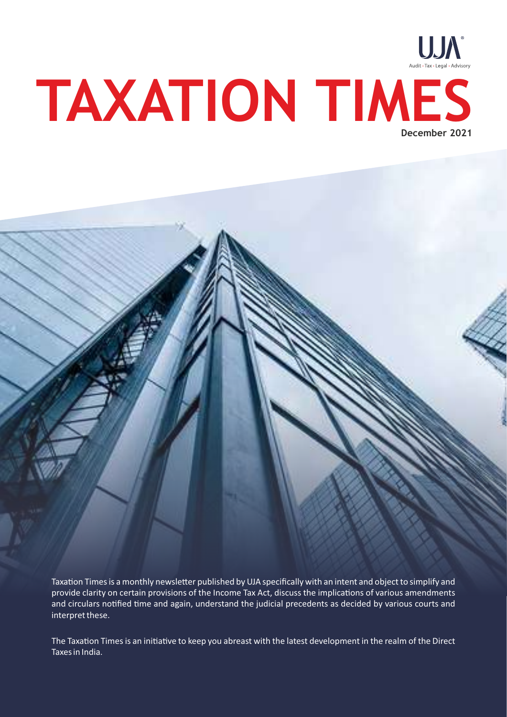

Taxation Times is a monthly newsletter published by UJA specifically with an intent and object to simplify and provide clarity on certain provisions of the Income Tax Act, discuss the implications of various amendments and circulars notified time and again, understand the judicial precedents as decided by various courts and interpret these.

The Taxation Times is an initiative to keep you abreast with the latest development in the realm of the Direct Taxes in India.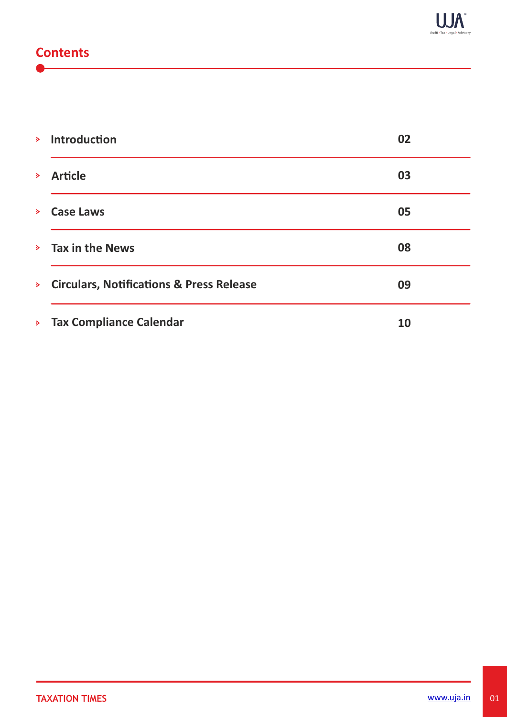# **Contents**

|                    | <b>&gt;</b> Introduction                   | 02 |
|--------------------|--------------------------------------------|----|
| $\sum_{i=1}^{n}$   | <b>Article</b>                             | 03 |
| $\triangleright$   | <b>Case Laws</b>                           | 05 |
|                    | $\angle$ Tax in the News                   | 08 |
|                    | > Circulars, Notifications & Press Release | 09 |
| $\mathbf{S}^{\pm}$ | <b>Tax Compliance Calendar</b>             | 10 |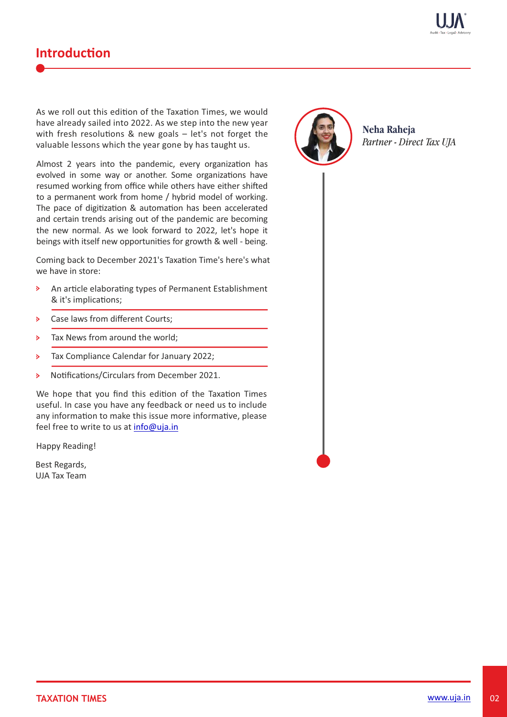

# **Introduction**

As we roll out this edition of the Taxation Times, we would have already sailed into 2022. As we step into the new year with fresh resolutions & new goals  $-$  let's not forget the valuable lessons which the year gone by has taught us.

Almost 2 years into the pandemic, every organization has evolved in some way or another. Some organizations have resumed working from office while others have either shifted to a permanent work from home / hybrid model of working. The pace of digitization & automation has been accelerated and certain trends arising out of the pandemic are becoming the new normal. As we look forward to 2022, let's hope it beings with itself new opportunities for growth & well - being.

Coming back to December 2021's Taxation Time's here's what we have in store:

- An article elaborating types of Permanent Establishment  $\ddot{\triangleright}$ & it's implications;
- Case laws from different Courts;  $\mathbf{S}$
- Tax News from around the world;  $\mathbf{A}$
- Tax Compliance Calendar for January 2022;  $\mathbf{S}$
- Notifications/Circulars from December 2021.  $\mathbf{S}$

We hope that you find this edition of the Taxation Times useful. In case you have any feedback or need us to include any information to make this issue more informative, please feel free to write to us at info@uja.in

Happy Reading!

Best Regards, UJA Tax Team



**Neha Raheja** *Partner - Direct Tax UJA*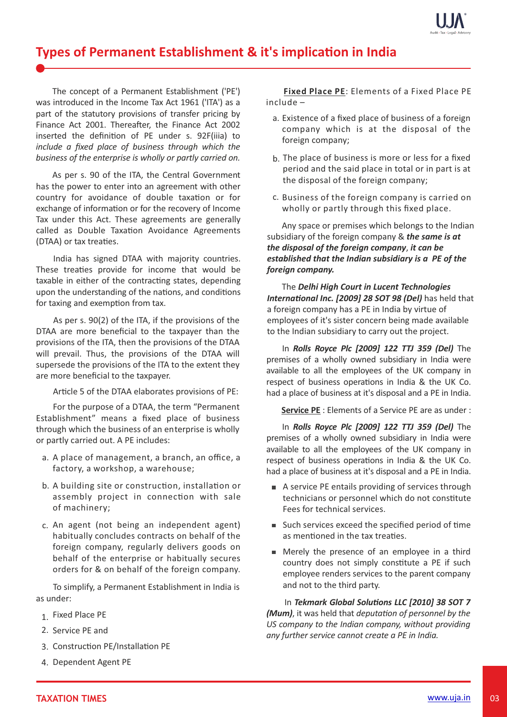

# **Types of Permanent Establishment & it's implication in India**

The concept of a Permanent Establishment ('PE') was introduced in the Income Tax Act 1961 ('ITA') as a part of the statutory provisions of transfer pricing by Finance Act 2001. Thereafter, the Finance Act 2002 inserted the definition of PE under s. 92F(iiia) to *include a fixed place of business through which the business of the enterprise is wholly or partly carried on.* 

As per s. 90 of the ITA, the Central Government has the power to enter into an agreement with other country for avoidance of double taxation or for exchange of information or for the recovery of Income Tax under this Act. These agreements are generally called as Double Taxation Avoidance Agreements (DTAA) or tax treaties.

India has signed DTAA with majority countries. These treaties provide for income that would be taxable in either of the contracting states, depending upon the understanding of the nations, and conditions for taxing and exemption from tax.

As per s. 90(2) of the ITA, if the provisions of the DTAA are more beneficial to the taxpayer than the provisions of the ITA, then the provisions of the DTAA will prevail. Thus, the provisions of the DTAA will supersede the provisions of the ITA to the extent they are more beneficial to the taxpayer.

Article 5 of the DTAA elaborates provisions of PE:

 For the purpose of a DTAA, the term "Permanent Establishment" means a fixed place of business through which the business of an enterprise is wholly or partly carried out. A PE includes:

- a. A place of management, a branch, an office, a factory, a workshop, a warehouse;
- b. A building site or construction, installation or assembly project in connection with sale of machinery;
- c. An agent (not being an independent agent) habitually concludes contracts on behalf of the foreign company, regularly delivers goods on behalf of the enterprise or habitually secures orders for & on behalf of the foreign company.

 To simplify, a Permanent Establishment in India is as under:

- 1. Fixed Place PE
- 2. Service PE and
- 3. Construction PE/Installation PE
- 4. Dependent Agent PE

 **Fixed Place PE**: Elements of a Fixed Place PE include –

- a. Existence of a fixed place of business of a foreign company which is at the disposal of the foreign company;
- b. The place of business is more or less for a fixed period and the said place in total or in part is at the disposal of the foreign company;
- c. Business of the foreign company is carried on wholly or partly through this fixed place.

 Any space or premises which belongs to the Indian subsidiary of the foreign company & *the same is at the disposal of the foreign company*, *it can be established that the Indian subsidiary is a PE of the foreign company.*

 The *Delhi High Court in Lucent Technologies International Inc. [2009] 28 SOT 98 (Del)* has held that a foreign company has a PE in India by virtue of employees of it's sister concern being made available to the Indian subsidiary to carry out the project.

In *Rolls Royce Plc [2009] 122 TTJ 359 (Del)* The premises of a wholly owned subsidiary in India were available to all the employees of the UK company in respect of business operations in India & the UK Co. had a place of business at it's disposal and a PE in India.

 **Service PE** : Elements of a Service PE are as under :

In *Rolls Royce Plc [2009] 122 TTJ 359 (Del)* The premises of a wholly owned subsidiary in India were available to all the employees of the UK company in respect of business operations in India & the UK Co. had a place of business at it's disposal and a PE in India.

- A service PE entails providing of services through technicians or personnel which do not constitute Fees for technical services.
- $\blacksquare$  Such services exceed the specified period of time as mentioned in the tax treaties.
- Merely the presence of an employee in a third country does not simply constitute a PE if such employee renders services to the parent company and not to the third party.

In *Tekmark Global Solutions LLC [2010] 38 SOT 7 (Mum)*, it was held that *deputation of personnel by the US company to the Indian company, without providing any further service cannot create a PE in India.*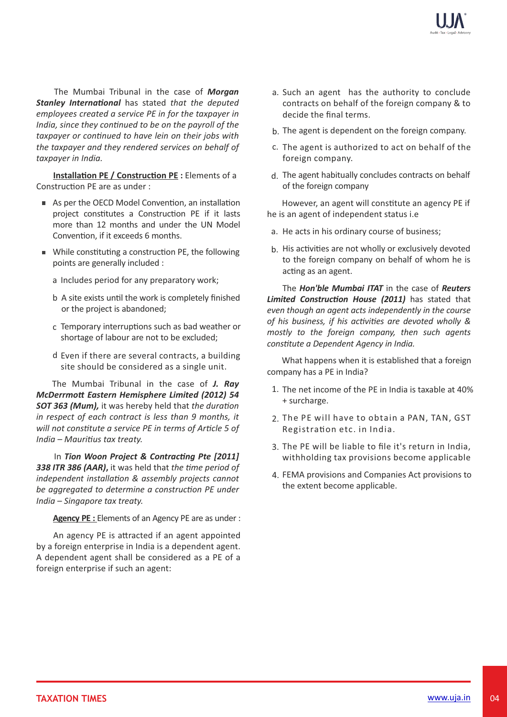

The Mumbai Tribunal in the case of *Morgan* **Stanley International** has stated that the deputed *employees created a service PE in for the taxpayer in India, since they continued to be on the payroll of the* taxpayer or continued to have lein on their jobs with *the taxpayer and they rendered services on behalf of taxpayer in India.*

**Installation PE / Construction PE :** Elements of a Construction PE are as under :

- As per the OECD Model Convention, an installation project constitutes a Construction PE if it lasts more than 12 months and under the UN Model Convention, if it exceeds 6 months.
- $\blacksquare$  While constituting a construction PE, the following points are generally included :
	- a Includes period for any preparatory work;
	- b A site exists until the work is completely finished or the project is abandoned;
	- $c$  Temporary interruptions such as bad weather or shortage of labour are not to be excluded;
	- d Even if there are several contracts, a building site should be considered as a single unit.

The Mumbai Tribunal in the case of *J. Ray McDerrmo Eastern Hemisphere Limited (2012) 54* 50T 363 (Mum), it was hereby held that *the duration in respect of each contract is less than 9 months, it* will not constitute a service PE in terms of Article 5 of *India – Mauritius tax treaty.* 

In **Tion Woon Project & Contracting Pte [2011] 338 ITR 386 (AAR), it was held that the time period of** *independent installation & assembly projects cannot* be aggregated to determine a construction PE under *India – Singapore tax treaty.* 

 **Agency PE :** Elements of an Agency PE are as under :

An agency PE is attracted if an agent appointed by a foreign enterprise in India is a dependent agent. A dependent agent shall be considered as a PE of a foreign enterprise if such an agent:

- a. Such an agent has the authority to conclude contracts on behalf of the foreign company & to decide the final terms.
- b. The agent is dependent on the foreign company.
- c. The agent is authorized to act on behalf of the foreign company.
- The agent habitually concludes contracts on behalf d. of the foreign company

However, an agent will constitute an agency PE if he is an agent of independent status i.e

- a. He acts in his ordinary course of business;
- b. His activities are not wholly or exclusively devoted to the foreign company on behalf of whom he is acting as an agent.

The *Hon'ble Mumbai ITAT* in the case of *Reuters* **Limited Construction House (2011)** has stated that *even though an agent acts independently in the course* of his business, if his activities are devoted wholly & *mostly to the foreign company, then such agents constute a Dependent Agency in India.*

 What happens when it is established that a foreign company has a PE in India?

- 1. The net income of the PE in India is taxable at 40% + surcharge.
- 2. The PE will have to obtain a PAN, TAN, GST Registration etc. in India.
- 3. The PE will be liable to file it's return in India, withholding tax provisions become applicable
- FEMA provisions and Companies Act provisions to 4. the extent become applicable.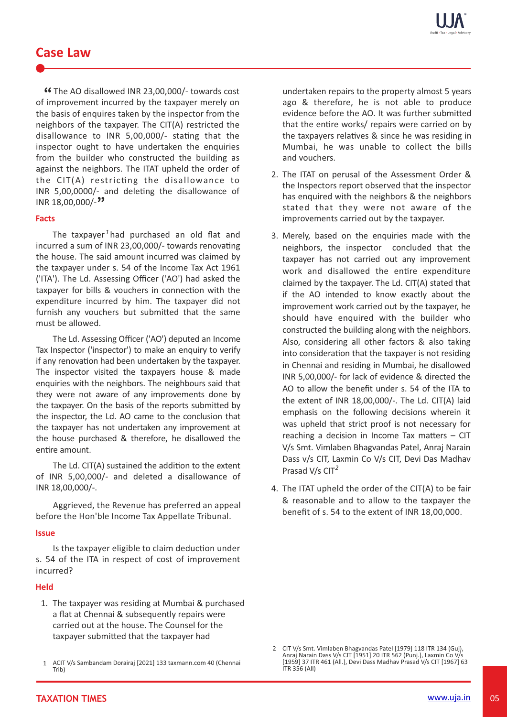### **Case Law**

**EXAMPLE AO disallowed INR 23,00,000/- towards cost<br>Sumprovement incurred by the taxpayer merely on** of improvement incurred by the taxpayer merely on the basis of enquires taken by the inspector from the neighbors of the taxpayer. The CIT(A) restricted the disallowance to INR 5,00,000/- stating that the inspector ought to have undertaken the enquiries from the builder who constructed the building as against the neighbors. The ITAT upheld the order of the  $CIT(A)$  restricting the disallowance to INR 5,00,0000/- and deleting the disallowance of INR 18,00,000/- **"**

### **Facts**

The taxpayer<sup>1</sup> had purchased an old flat and incurred a sum of INR 23,00,000/- towards renovating the house. The said amount incurred was claimed by the taxpayer under s. 54 of the Income Tax Act 1961 ('ITA'). The Ld. Assessing Officer ('AO') had asked the taxpayer for bills & vouchers in connection with the expenditure incurred by him. The taxpayer did not furnish any vouchers but submitted that the same must be allowed.

 The Ld. Assessing Officer ('AO') deputed an Income Tax Inspector ('inspector') to make an enquiry to verify if any renovation had been undertaken by the taxpayer. The inspector visited the taxpayers house & made enquiries with the neighbors. The neighbours said that they were not aware of any improvements done by the taxpayer. On the basis of the reports submitted by the inspector, the Ld. AO came to the conclusion that the taxpayer has not undertaken any improvement at the house purchased & therefore, he disallowed the entire amount.

The Ld. CIT(A) sustained the addition to the extent of INR 5,00,000/- and deleted a disallowance of INR 18,00,000/-.

 Aggrieved, the Revenue has preferred an appeal before the Hon'ble Income Tax Appellate Tribunal.

### **Issue**

Is the taxpayer eligible to claim deduction under s. 54 of the ITA in respect of cost of improvement incurred?

### **Held**

1. The taxpayer was residing at Mumbai & purchased a flat at Chennai & subsequently repairs were carried out at the house. The Counsel for the taxpayer submitted that the taxpayer had

undertaken repairs to the property almost 5 years ago & therefore, he is not able to produce evidence before the AO. It was further submitted that the entire works/ repairs were carried on by the taxpayers relatives & since he was residing in Mumbai, he was unable to collect the bills and vouchers.

- 2. The ITAT on perusal of the Assessment Order & the Inspectors report observed that the inspector has enquired with the neighbors & the neighbors stated that they were not aware of the improvements carried out by the taxpayer.
- 3. Merely, based on the enquiries made with the neighbors, the inspector concluded that the taxpayer has not carried out any improvement work and disallowed the entire expenditure claimed by the taxpayer. The Ld. CIT(A) stated that if the AO intended to know exactly about the improvement work carried out by the taxpayer, he should have enquired with the builder who constructed the building along with the neighbors. Also, considering all other factors & also taking into consideration that the taxpayer is not residing in Chennai and residing in Mumbai, he disallowed INR 5,00,000/- for lack of evidence & directed the AO to allow the benefit under s. 54 of the ITA to the extent of INR 18,00,000/-. The Ld. CIT(A) laid emphasis on the following decisions wherein it was upheld that strict proof is not necessary for reaching a decision in Income Tax matters  $-$  CIT V/s Smt. Vimlaben Bhagvandas Patel, Anraj Narain Dass v/s CIT, Laxmin Co V/s CIT, Devi Das Madhav Prasad V/s CIT *2*
- 4. The ITAT upheld the order of the CIT(A) to be fair & reasonable and to allow to the taxpayer the benefit of s. 54 to the extent of INR 18,00,000.

<sup>1</sup> ACIT V/s Sambandam Dorairaj [2021] 133 taxmann.com 40 (Chennai Trib)

<sup>2</sup> CIT V/s Smt. Vimlaben Bhagvandas Patel [1979] 118 ITR 134 (Guj), Anraj Narain Dass V/s CIT [1951] 20 ITR 562 (Punj.), Laxmin Co V/s [1959] 37 ITR 461 (All.), Devi Dass Madhav Prasad V/s CIT [1967] 63 ITR 356 (All)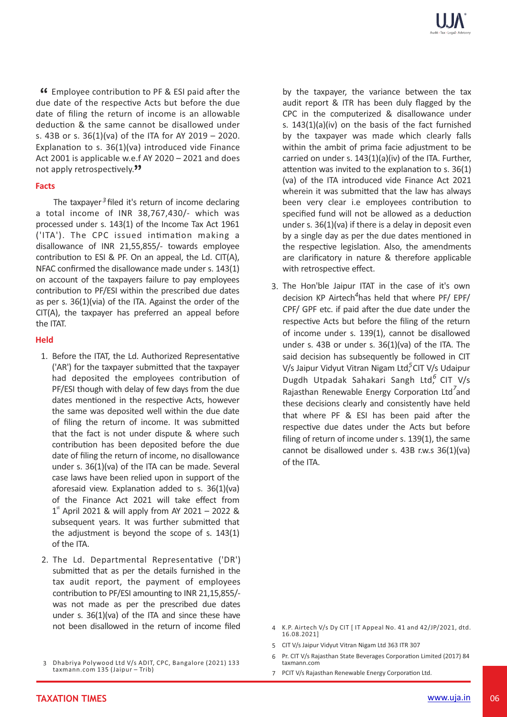**EXECUTE:** CONTRESS CONTINUITY CONTEXT FOR EST paid after the due of the respective Acts but before the due due date of the respective Acts but before the due date of filing the return of income is an allowable deduction & the same cannot be disallowed under s. 43B or s. 36(1)(va) of the ITA for AY 2019 – 2020. Explanation to s.  $36(1)(va)$  introduced vide Finance Act 2001 is applicable w.e.f AY 2020 – 2021 and does not apply retrospectively.<sup>99</sup>

### **Facts**

The taxpayer<sup>3</sup> filed it's return of income declaring a total income of INR 38,767,430/- which was processed under s. 143(1) of the Income Tax Act 1961 ('ITA'). The CPC issued intimation making a disallowance of INR 21,55,855/- towards employee contribution to ESI & PF. On an appeal, the Ld. CIT(A), NFAC confirmed the disallowance made under s. 143(1) on account of the taxpayers failure to pay employees contribution to PF/ESI within the prescribed due dates as per s. 36(1)(via) of the ITA. Against the order of the CIT(A), the taxpayer has preferred an appeal before the ITAT.

### **Held**

- 1. Before the ITAT, the Ld. Authorized Representative ('AR') for the taxpayer submitted that the taxpayer had deposited the employees contribution of PF/ESI though with delay of few days from the due dates mentioned in the respective Acts, however the same was deposited well within the due date of filing the return of income. It was submitted that the fact is not under dispute & where such contribution has been deposited before the due date of filing the return of income, no disallowance under s. 36(1)(va) of the ITA can be made. Several case laws have been relied upon in support of the aforesaid view. Explanation added to s.  $36(1)(va)$ of the Finance Act 2021 will take effect from  $1<sup>st</sup>$  April 2021 & will apply from AY 2021 – 2022 & subsequent years. It was further submitted that the adjustment is beyond the scope of s. 143(1) of the ITA.
- 2. The Ld. Departmental Representative ('DR') submitted that as per the details furnished in the tax audit report, the payment of employees contribution to PF/ESI amounting to INR 21,15,855/was not made as per the prescribed due dates under s. 36(1)(va) of the ITA and since these have not been disallowed in the return of income filed

by the taxpayer, the variance between the tax audit report & ITR has been duly flagged by the CPC in the computerized & disallowance under s. 143(1)(a)(iv) on the basis of the fact furnished by the taxpayer was made which clearly falls within the ambit of prima facie adjustment to be carried on under s. 143(1)(a)(iv) of the ITA. Further, attention was invited to the explanation to s.  $36(1)$ (va) of the ITA introduced vide Finance Act 2021 wherein it was submitted that the law has always been very clear i.e employees contribution to specified fund will not be allowed as a deduction under s. 36(1)(va) if there is a delay in deposit even by a single day as per the due dates mentioned in the respective legislation. Also, the amendments are clarificatory in nature & therefore applicable with retrospective effect.

3. The Hon'ble Jaipur ITAT in the case of it's own decision KP Airtech<sup>4</sup>has held that where PF/ EPF/ CPF/ GPF etc. if paid after the due date under the respective Acts but before the filing of the return of income under s. 139(1), cannot be disallowed under s. 43B or under s. 36(1)(va) of the ITA. The said decision has subsequently be followed in CIT V/s Jaipur Vidyut Vitran Nigam Ltd<sup>5</sup> CIT V/s Udaipur Dugdh Utpadak Sahakari Sangh Ltd,<sup>6</sup> CIT V/s Rajasthan Renewable Energy Corporation Ltd<sup>7</sup>and these decisions clearly and consistently have held that where  $PF$  & ESI has been paid after the respective due dates under the Acts but before filing of return of income under s. 139(1), the same cannot be disallowed under s. 43B r.w.s 36(1)(va) of the ITA.

- 4 K.P. Airtech V/s Dy CIT [ IT Appeal No. 41 and 42/JP/2021, dtd. 16.08.2021]
- 5 CIT V/s Jaipur Vidyut Vitran Nigam Ltd 363 ITR 307
- 6 Pr. CIT V/s Rajasthan State Beverages Corporation Limited (2017) 84 taxmann.com
- 7 PCIT V/s Rajasthan Renewable Energy Corporation Ltd.

<sup>3</sup> Dhabriya Polywood Ltd V/s ADIT, CPC, Bangalore (2021) 133 taxmann.com 135 (Jaipur – Trib)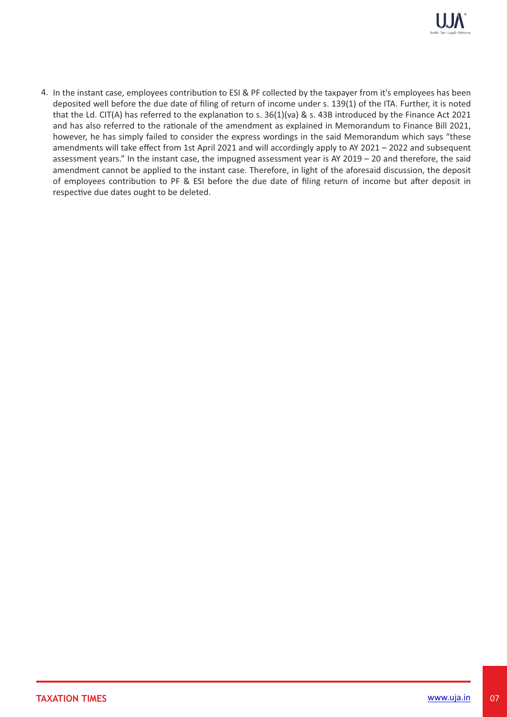

4. In the instant case, employees contribution to ESI & PF collected by the taxpayer from it's employees has been deposited well before the due date of filing of return of income under s. 139(1) of the ITA. Further, it is noted that the Ld. CIT(A) has referred to the explanation to s.  $36(1)(va)$  & s. 43B introduced by the Finance Act 2021 and has also referred to the rationale of the amendment as explained in Memorandum to Finance Bill 2021, however, he has simply failed to consider the express wordings in the said Memorandum which says "these amendments will take effect from 1st April 2021 and will accordingly apply to AY 2021 – 2022 and subsequent assessment years." In the instant case, the impugned assessment year is AY 2019 – 20 and therefore, the said amendment cannot be applied to the instant case. Therefore, in light of the aforesaid discussion, the deposit of employees contribution to PF & ESI before the due date of filing return of income but after deposit in respective due dates ought to be deleted.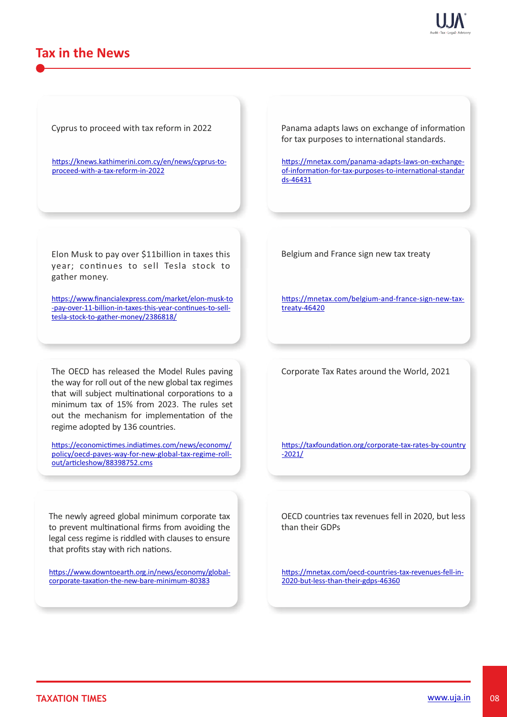# **Tax in the News**

Cyprus to proceed with tax reform in 2022

https://knews.kathimerini.com.cy/en/news/cyprus-toproceed-with-a-tax-reform-in-2022

Elon Musk to pay over \$11billion in taxes this year; continues to sell Tesla stock to gather money.

https://www.financialexpress.com/market/elon-musk-to -pay-over-11-billion-in-taxes-this-year-continues-to-selltesla-stock-to-gather-money/2386818/

The OECD has released the Model Rules paving the way for roll out of the new global tax regimes that will subject multinational corporations to a minimum tax of 15% from 2023. The rules set out the mechanism for implementation of the regime adopted by 136 countries.

https://economictimes.indiatimes.com/news/economy/ policy/oecd-paves-way-for-new-global-tax-regime-rollout/articleshow/88398752.cms

The newly agreed global minimum corporate tax to prevent multinational firms from avoiding the legal cess regime is riddled with clauses to ensure that profits stay with rich nations.

https://www.downtoearth.org.in/news/economy/globalcorporate-taxation-the-new-bare-minimum-80383

Panama adapts laws on exchange of information for tax purposes to international standards.

https://mnetax.com/panama-adapts-laws-on-exchangeof-information-for-tax-purposes-to-international-standar ds-46431

Belgium and France sign new tax treaty

https://mnetax.com/belgium-and-france-sign-new-taxtreaty-46420

Corporate Tax Rates around the World, 2021

https://taxfoundation.org/corporate-tax-rates-by-country -2021/

OECD countries tax revenues fell in 2020, but less than their GDPs

https://mnetax.com/oecd-countries-tax-revenues-fell-in-2020-but-less-than-their-gdps-46360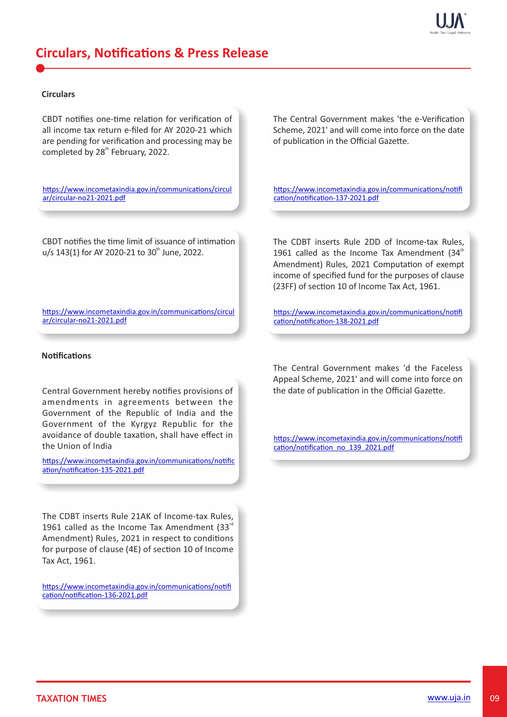

# **Circulars, Notifications & Press Release**

### **Circulars**

CBDT notifies one-time relation for verification of all income tax return e-filed for AY 2020-21 which are pending for verification and processing may be completed by 28<sup>th</sup> February, 2022.

https://www.incometaxindia.gov.in/communications/circul ar/circular-no21-2021.pdf

CBDT notifies the time limit of issuance of intimation u/s 143(1) for AY 2020-21 to 30<sup>th</sup> June, 2022.

https://www.incometaxindia.gov.in/communications/circul ar/circular-no21-2021.pdf

### **Notifications**

Central Government hereby notifies provisions of amendments in agreements between the Government of the Republic of India and the Government of the Kyrgyz Republic for the avoidance of double taxation, shall have effect in the Union of India

https://www.incometaxindia.gov.in/communications/notific ation/notification-135-2021.pdf

The CDBT inserts Rule 21AK of Income-tax Rules, 1961 called as the Income Tax Amendment (33 $<sup>rd</sup>$ </sup> Amendment) Rules, 2021 in respect to conditions for purpose of clause  $(4E)$  of section 10 of Income Tax Act, 1961.

https://www.incometaxindia.gov.in/communications/notifi cation/notification-136-2021.pdf

The Central Government makes 'the e-Verification Scheme, 2021' and will come into force on the date of publication in the Official Gazette.

https://www.incometaxindia.gov.in/communications/notifi cation/notification-137-2021.pdf

The CDBT inserts Rule 2DD of Income-tax Rules, 1961 called as the Income Tax Amendment (34 $<sup>th</sup>$ </sup> Amendment) Rules, 2021 Computation of exempt income of specified fund for the purposes of clause (23FF) of section 10 of Income Tax Act, 1961.

https://www.incometaxindia.gov.in/communications/notifi cation/notification-138-2021.pdf

The Central Government makes 'd the Faceless Appeal Scheme, 2021' and will come into force on the date of publication in the Official Gazette.

https://www.incometaxindia.gov.in/communications/notifi cation/notification\_no\_139\_2021.pdf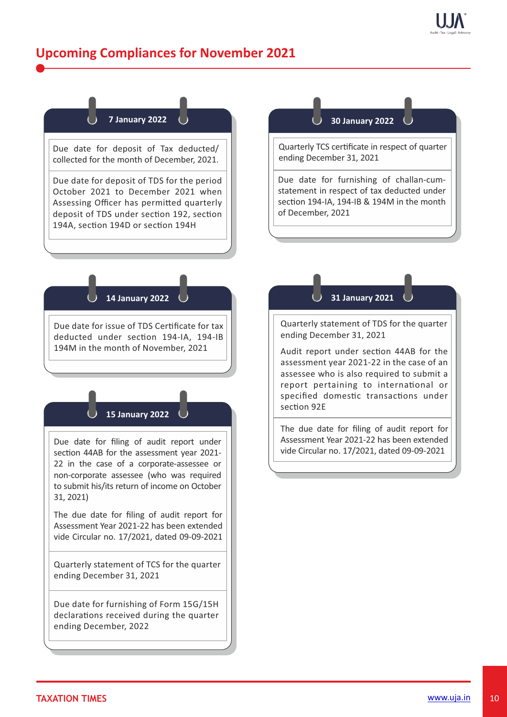# **Upcoming Compliances for November 2021**



Due date for deposit of Tax deducted/ collected for the month of December, 2021.

Due date for deposit of TDS for the period October 2021 to December 2021 when Assessing Officer has permitted quarterly deposit of TDS under section 192, section 194A, section 194D or section 194H

### **30 January 2022**

Quarterly TCS certificate in respect of quarter ending December 31, 2021

Due date for furnishing of challan-cumstatement in respect of tax deducted under section 194-IA, 194-IB & 194M in the month of December, 2021

### **14 January 2022**

Due date for issue of TDS Cerficate for tax deducted under section 194-IA, 194-IB 194M in the month of November, 2021

### **15 January 2022**

Due date for filing of audit report under section 44AB for the assessment year 2021-22 in the case of a corporate-assessee or non-corporate assessee (who was required to submit his/its return of income on October 31, 2021)

The due date for filing of audit report for Assessment Year 2021-22 has been extended vide Circular no. 17/2021, dated 09-09-2021

Quarterly statement of TCS for the quarter ending December 31, 2021

Due date for furnishing of Form 15G/15H declarations received during the quarter ending December, 2022

### **31 January 2021**

Quarterly statement of TDS for the quarter ending December 31, 2021

Audit report under section 44AB for the assessment year 2021-22 in the case of an assessee who is also required to submit a report pertaining to international or specified domestic transactions under section 92F

The due date for filing of audit report for Assessment Year 2021-22 has been extended vide Circular no. 17/2021, dated 09-09-2021